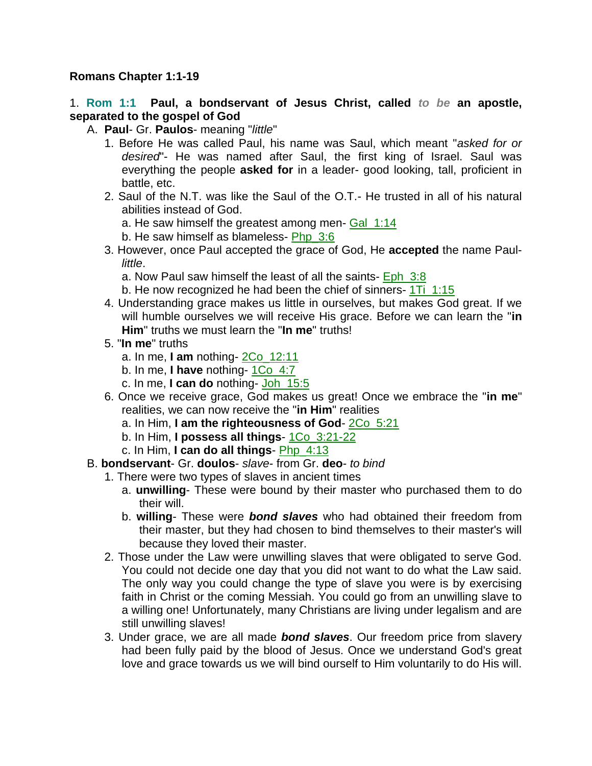### **Romans Chapter 1:1-19**

1. **Rom 1:1 Paul, a bondservant of Jesus Christ, called** *to be* **an apostle, separated to the gospel of God**

- A. **Paul** Gr. **Paulos** meaning "*little*"
	- 1. Before He was called Paul, his name was Saul, which meant "*asked for or desired*"- He was named after Saul, the first king of Israel. Saul was everything the people **asked for** in a leader- good looking, tall, proficient in battle, etc.
	- 2. Saul of the N.T. was like the Saul of the O.T.- He trusted in all of his natural abilities instead of God.
		- a. He saw himself the greatest among men- Gal\_1:14
		- b. He saw himself as blameless- Php\_3:6
	- 3. However, once Paul accepted the grace of God, He **accepted** the name Paul*little*.
		- a. Now Paul saw himself the least of all the saints- Eph 3:8
		- b. He now recognized he had been the chief of sinners- 1Ti\_1:15
	- 4. Understanding grace makes us little in ourselves, but makes God great. If we will humble ourselves we will receive His grace. Before we can learn the "**in Him**" truths we must learn the "**In me**" truths!
	- 5. "**In me**" truths
		- a. In me, **I am** nothing- 2Co\_12:11
		- b. In me, **I have** nothing- 1Co\_4:7
		- c. In me, **I can do** nothing- Joh\_15:5
	- 6. Once we receive grace, God makes us great! Once we embrace the "**in me**" realities, we can now receive the "**in Him**" realities
		- a. In Him, **I am the righteousness of God** 2Co\_5:21
		- b. In Him, **I possess all things** 1Co\_3:21-22
		- c. In Him, **I can do all things** Php\_4:13
- B. **bondservant** Gr. **doulos** *slave* from Gr. **deo** *to bind*
	- 1. There were two types of slaves in ancient times
		- a. **unwilling** These were bound by their master who purchased them to do their will.
		- b. **willing** These were *bond slaves* who had obtained their freedom from their master, but they had chosen to bind themselves to their master's will because they loved their master.
	- 2. Those under the Law were unwilling slaves that were obligated to serve God. You could not decide one day that you did not want to do what the Law said. The only way you could change the type of slave you were is by exercising faith in Christ or the coming Messiah. You could go from an unwilling slave to a willing one! Unfortunately, many Christians are living under legalism and are still unwilling slaves!
	- 3. Under grace, we are all made *bond slaves*. Our freedom price from slavery had been fully paid by the blood of Jesus. Once we understand God's great love and grace towards us we will bind ourself to Him voluntarily to do His will.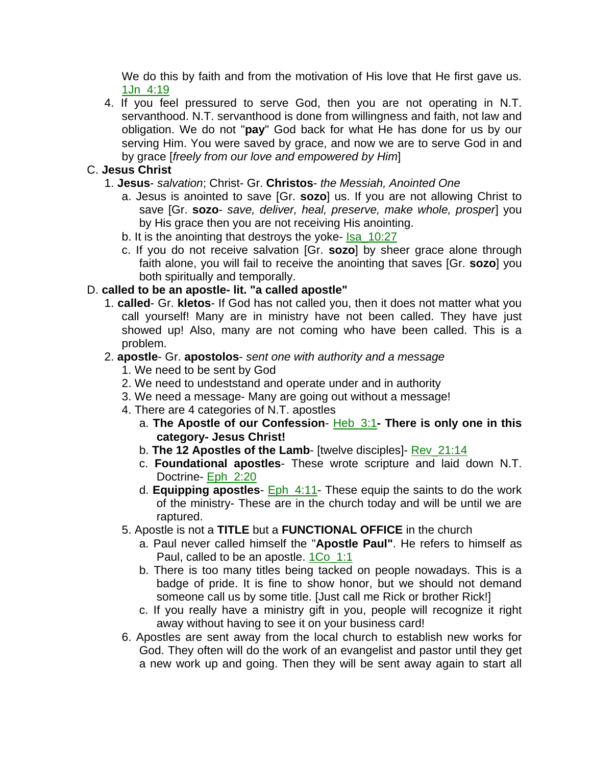We do this by faith and from the motivation of His love that He first gave us. 1Jn\_4:19

4. If you feel pressured to serve God, then you are not operating in N.T. servanthood. N.T. servanthood is done from willingness and faith, not law and obligation. We do not "**pay**" God back for what He has done for us by our serving Him. You were saved by grace, and now we are to serve God in and by grace [*freely from our love and empowered by Him*]

## C. **Jesus Christ**

- 1. **Jesus** *salvation*; Christ- Gr. **Christos** *the Messiah, Anointed One*
	- a. Jesus is anointed to save [Gr. **sozo**] us. If you are not allowing Christ to save [Gr. **sozo**- *save, deliver, heal, preserve, make whole, prosper*] you by His grace then you are not receiving His anointing.
	- b. It is the anointing that destroys the yoke- Isa\_10:27
	- c. If you do not receive salvation [Gr. **sozo**] by sheer grace alone through faith alone, you will fail to receive the anointing that saves [Gr. **sozo**] you both spiritually and temporally.

## D. **called to be an apostle- lit. "a called apostle"**

1. **called**- Gr. **kletos**- If God has not called you, then it does not matter what you call yourself! Many are in ministry have not been called. They have just showed up! Also, many are not coming who have been called. This is a problem.

### 2. **apostle**- Gr. **apostolos**- *sent one with authority and a message*

- 1. We need to be sent by God
- 2. We need to undeststand and operate under and in authority
- 3. We need a message- Many are going out without a message!
- 4. There are 4 categories of N.T. apostles
	- a. **The Apostle of our Confession** Heb\_3:1**- There is only one in this category- Jesus Christ!**
	- b. **The 12 Apostles of the Lamb** [twelve disciples]- Rev\_21:14
	- c. **Foundational apostles** These wrote scripture and laid down N.T. Doctrine- Eph 2:20
	- d. **Equipping apostles** Eph\_4:11- These equip the saints to do the work of the ministry- These are in the church today and will be until we are raptured.
- 5. Apostle is not a **TITLE** but a **FUNCTIONAL OFFICE** in the church
	- a. Paul never called himself the "**Apostle Paul"**. He refers to himself as Paul, called to be an apostle. 1Co\_1:1
	- b. There is too many titles being tacked on people nowadays. This is a badge of pride. It is fine to show honor, but we should not demand someone call us by some title. [Just call me Rick or brother Rick!]
	- c. If you really have a ministry gift in you, people will recognize it right away without having to see it on your business card!
- 6. Apostles are sent away from the local church to establish new works for God. They often will do the work of an evangelist and pastor until they get a new work up and going. Then they will be sent away again to start all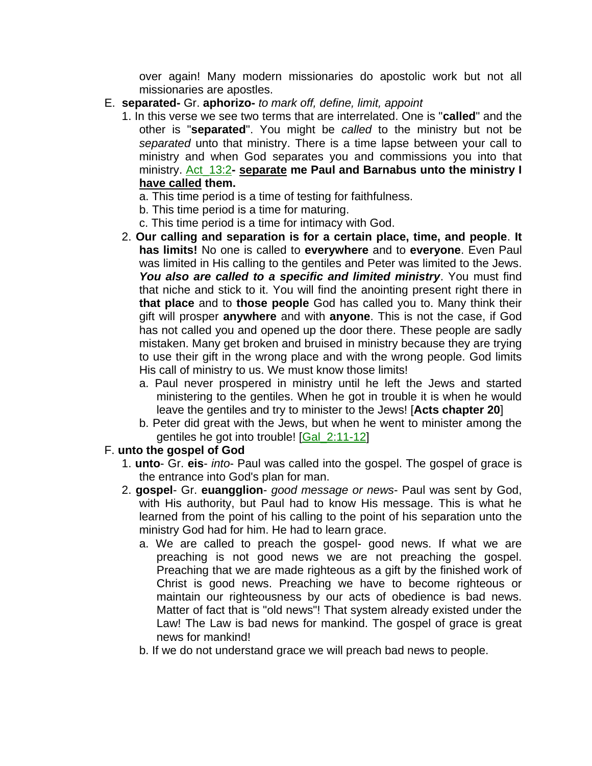over again! Many modern missionaries do apostolic work but not all missionaries are apostles.

- E. **separated-** Gr. **aphorizo-** *to mark off, define, limit, appoint*
	- 1. In this verse we see two terms that are interrelated. One is "**called**" and the other is "**separated**". You might be *called* to the ministry but not be *separated* unto that ministry. There is a time lapse between your call to ministry and when God separates you and commissions you into that ministry. Act\_13:2**- separate me Paul and Barnabus unto the ministry I have called them.**
		- a. This time period is a time of testing for faithfulness.
		- b. This time period is a time for maturing.
		- c. This time period is a time for intimacy with God.
	- 2. **Our calling and separation is for a certain place, time, and people**. **It has limits!** No one is called to **everywhere** and to **everyone**. Even Paul was limited in His calling to the gentiles and Peter was limited to the Jews. *You also are called to a specific and limited ministry*. You must find that niche and stick to it. You will find the anointing present right there in **that place** and to **those people** God has called you to. Many think their gift will prosper **anywhere** and with **anyone**. This is not the case, if God has not called you and opened up the door there. These people are sadly mistaken. Many get broken and bruised in ministry because they are trying to use their gift in the wrong place and with the wrong people. God limits His call of ministry to us. We must know those limits!
		- a. Paul never prospered in ministry until he left the Jews and started ministering to the gentiles. When he got in trouble it is when he would leave the gentiles and try to minister to the Jews! [**Acts chapter 20**]
		- b. Peter did great with the Jews, but when he went to minister among the gentiles he got into trouble! [Gal\_2:11-12]
- F. **unto the gospel of God**
	- 1. **unto** Gr. **eis** *into* Paul was called into the gospel. The gospel of grace is the entrance into God's plan for man.
	- 2. **gospel** Gr. **euangglion** *good message or news* Paul was sent by God, with His authority, but Paul had to know His message. This is what he learned from the point of his calling to the point of his separation unto the ministry God had for him. He had to learn grace.
		- a. We are called to preach the gospel- good news. If what we are preaching is not good news we are not preaching the gospel. Preaching that we are made righteous as a gift by the finished work of Christ is good news. Preaching we have to become righteous or maintain our righteousness by our acts of obedience is bad news. Matter of fact that is "old news"! That system already existed under the Law! The Law is bad news for mankind. The gospel of grace is great news for mankind!
		- b. If we do not understand grace we will preach bad news to people.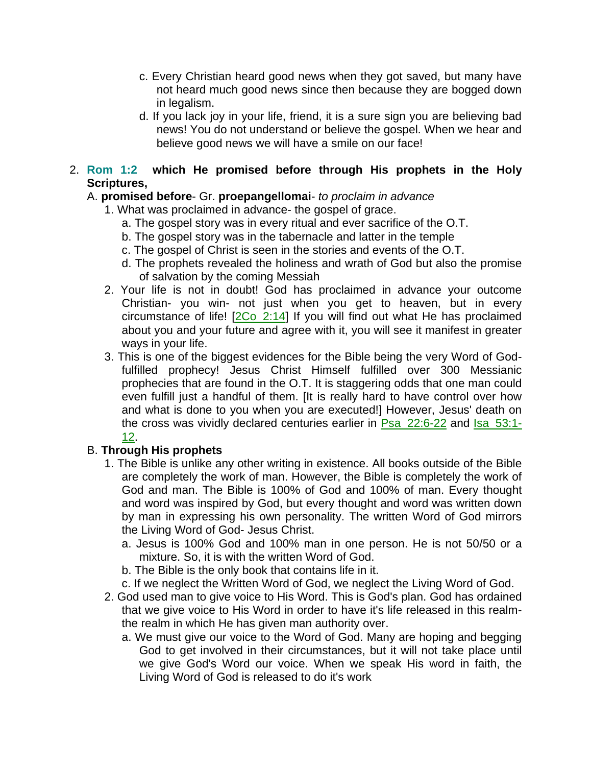- c. Every Christian heard good news when they got saved, but many have not heard much good news since then because they are bogged down in legalism.
- d. If you lack joy in your life, friend, it is a sure sign you are believing bad news! You do not understand or believe the gospel. When we hear and believe good news we will have a smile on our face!
- 2. **Rom 1:2 which He promised before through His prophets in the Holy Scriptures,**

# A. **promised before**- Gr. **proepangellomai**- *to proclaim in advance*

- 1. What was proclaimed in advance- the gospel of grace.
	- a. The gospel story was in every ritual and ever sacrifice of the O.T.
	- b. The gospel story was in the tabernacle and latter in the temple
	- c. The gospel of Christ is seen in the stories and events of the O.T.
	- d. The prophets revealed the holiness and wrath of God but also the promise of salvation by the coming Messiah
- 2. Your life is not in doubt! God has proclaimed in advance your outcome Christian- you win- not just when you get to heaven, but in every circumstance of life! [2Co\_2:14] If you will find out what He has proclaimed about you and your future and agree with it, you will see it manifest in greater ways in your life.
- 3. This is one of the biggest evidences for the Bible being the very Word of Godfulfilled prophecy! Jesus Christ Himself fulfilled over 300 Messianic prophecies that are found in the O.T. It is staggering odds that one man could even fulfill just a handful of them. [It is really hard to have control over how and what is done to you when you are executed!] However, Jesus' death on the cross was vividly declared centuries earlier in Psa\_22:6-22 and Isa\_53:1- 12.

# B. **Through His prophets**

- 1. The Bible is unlike any other writing in existence. All books outside of the Bible are completely the work of man. However, the Bible is completely the work of God and man. The Bible is 100% of God and 100% of man. Every thought and word was inspired by God, but every thought and word was written down by man in expressing his own personality. The written Word of God mirrors the Living Word of God- Jesus Christ.
	- a. Jesus is 100% God and 100% man in one person. He is not 50/50 or a mixture. So, it is with the written Word of God.
	- b. The Bible is the only book that contains life in it.
	- c. If we neglect the Written Word of God, we neglect the Living Word of God.
- 2. God used man to give voice to His Word. This is God's plan. God has ordained that we give voice to His Word in order to have it's life released in this realmthe realm in which He has given man authority over.
	- a. We must give our voice to the Word of God. Many are hoping and begging God to get involved in their circumstances, but it will not take place until we give God's Word our voice. When we speak His word in faith, the Living Word of God is released to do it's work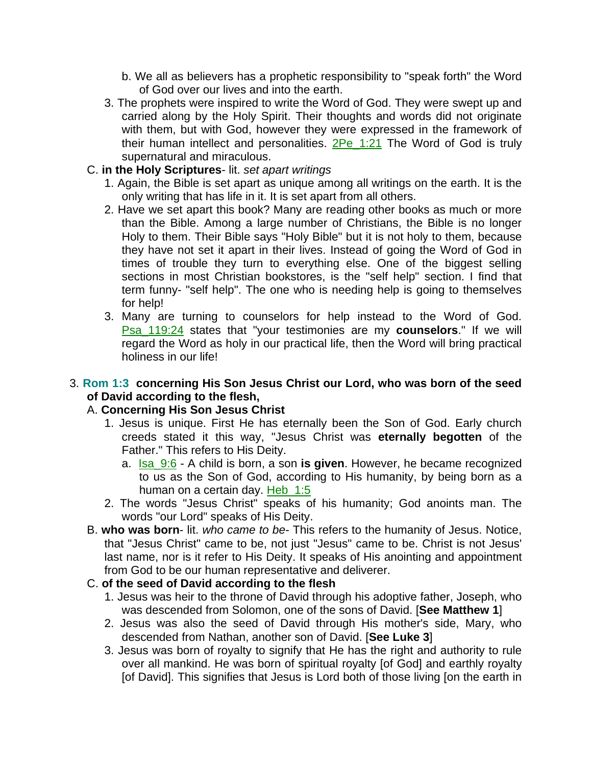- b. We all as believers has a prophetic responsibility to "speak forth" the Word of God over our lives and into the earth.
- 3. The prophets were inspired to write the Word of God. They were swept up and carried along by the Holy Spirit. Their thoughts and words did not originate with them, but with God, however they were expressed in the framework of their human intellect and personalities.  $2Pe$  1:21 The Word of God is truly supernatural and miraculous.
- C. **in the Holy Scriptures** lit. *set apart writings*
	- 1. Again, the Bible is set apart as unique among all writings on the earth. It is the only writing that has life in it. It is set apart from all others.
	- 2. Have we set apart this book? Many are reading other books as much or more than the Bible. Among a large number of Christians, the Bible is no longer Holy to them. Their Bible says "Holy Bible" but it is not holy to them, because they have not set it apart in their lives. Instead of going the Word of God in times of trouble they turn to everything else. One of the biggest selling sections in most Christian bookstores, is the "self help" section. I find that term funny- "self help". The one who is needing help is going to themselves for help!
	- 3. Many are turning to counselors for help instead to the Word of God. Psa\_119:24 states that "your testimonies are my **counselors**." If we will regard the Word as holy in our practical life, then the Word will bring practical holiness in our life!

## 3. **Rom 1:3 concerning His Son Jesus Christ our Lord, who was born of the seed of David according to the flesh,**

## A. **Concerning His Son Jesus Christ**

- 1. Jesus is unique. First He has eternally been the Son of God. Early church creeds stated it this way, "Jesus Christ was **eternally begotten** of the Father." This refers to His Deity.
	- a. Isa\_9:6 A child is born, a son **is given**. However, he became recognized to us as the Son of God, according to His humanity, by being born as a human on a certain day. Heb 1:5
- 2. The words "Jesus Christ" speaks of his humanity; God anoints man. The words "our Lord" speaks of His Deity.
- B. **who was born** lit. *who came to be* This refers to the humanity of Jesus. Notice, that "Jesus Christ" came to be, not just "Jesus" came to be. Christ is not Jesus' last name, nor is it refer to His Deity. It speaks of His anointing and appointment from God to be our human representative and deliverer.
- C. **of the seed of David according to the flesh**
	- 1. Jesus was heir to the throne of David through his adoptive father, Joseph, who was descended from Solomon, one of the sons of David. [**See Matthew 1**]
	- 2. Jesus was also the seed of David through His mother's side, Mary, who descended from Nathan, another son of David. [**See Luke 3**]
	- 3. Jesus was born of royalty to signify that He has the right and authority to rule over all mankind. He was born of spiritual royalty [of God] and earthly royalty [of David]. This signifies that Jesus is Lord both of those living [on the earth in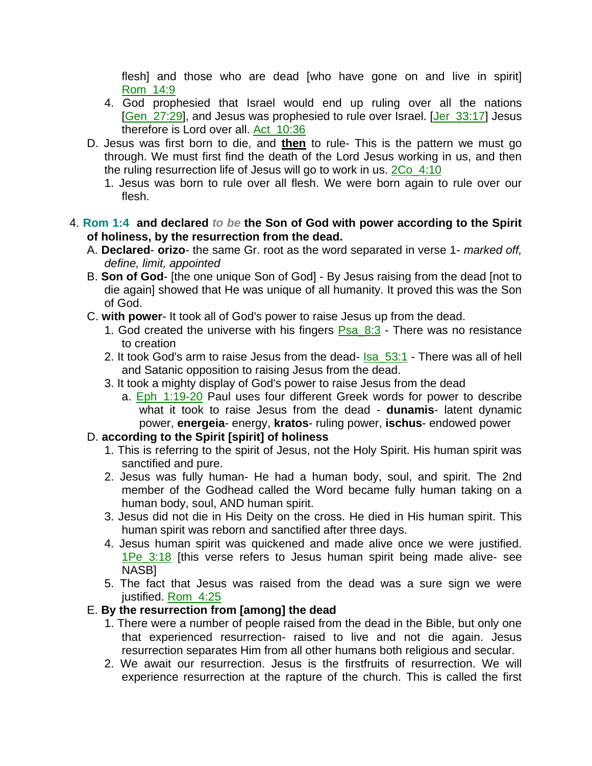flesh] and those who are dead [who have gone on and live in spirit] Rom\_14:9

- 4. God prophesied that Israel would end up ruling over all the nations [Gen\_27:29], and Jesus was prophesied to rule over Israel. [Jer\_33:17] Jesus therefore is Lord over all. Act\_10:36
- D. Jesus was first born to die, and **then** to rule- This is the pattern we must go through. We must first find the death of the Lord Jesus working in us, and then the ruling resurrection life of Jesus will go to work in us. 2Co\_4:10
	- 1. Jesus was born to rule over all flesh. We were born again to rule over our flesh.

### 4. **Rom 1:4 and declared** *to be* **the Son of God with power according to the Spirit of holiness, by the resurrection from the dead.**

- A. **Declared orizo** the same Gr. root as the word separated in verse 1- *marked off, define, limit, appointed*
- B. **Son of God** [the one unique Son of God] By Jesus raising from the dead [not to die again] showed that He was unique of all humanity. It proved this was the Son of God.
- C. **with power** It took all of God's power to raise Jesus up from the dead.
	- 1. God created the universe with his fingers Psa\_8:3 There was no resistance to creation
	- 2. It took God's arm to raise Jesus from the dead- Isa\_53:1 There was all of hell and Satanic opposition to raising Jesus from the dead.
	- 3. It took a mighty display of God's power to raise Jesus from the dead
		- a. Eph\_1:19-20 Paul uses four different Greek words for power to describe what it took to raise Jesus from the dead - **dunamis**- latent dynamic power, **energeia**- energy, **kratos**- ruling power, **ischus**- endowed power

## D. **according to the Spirit [spirit] of holiness**

- 1. This is referring to the spirit of Jesus, not the Holy Spirit. His human spirit was sanctified and pure.
- 2. Jesus was fully human- He had a human body, soul, and spirit. The 2nd member of the Godhead called the Word became fully human taking on a human body, soul, AND human spirit.
- 3. Jesus did not die in His Deity on the cross. He died in His human spirit. This human spirit was reborn and sanctified after three days.
- 4. Jesus human spirit was quickened and made alive once we were justified. 1Pe\_3:18 [this verse refers to Jesus human spirit being made alive- see NASB]
- 5. The fact that Jesus was raised from the dead was a sure sign we were justified. Rom 4:25

## E. **By the resurrection from [among] the dead**

- 1. There were a number of people raised from the dead in the Bible, but only one that experienced resurrection- raised to live and not die again. Jesus resurrection separates Him from all other humans both religious and secular.
- 2. We await our resurrection. Jesus is the firstfruits of resurrection. We will experience resurrection at the rapture of the church. This is called the first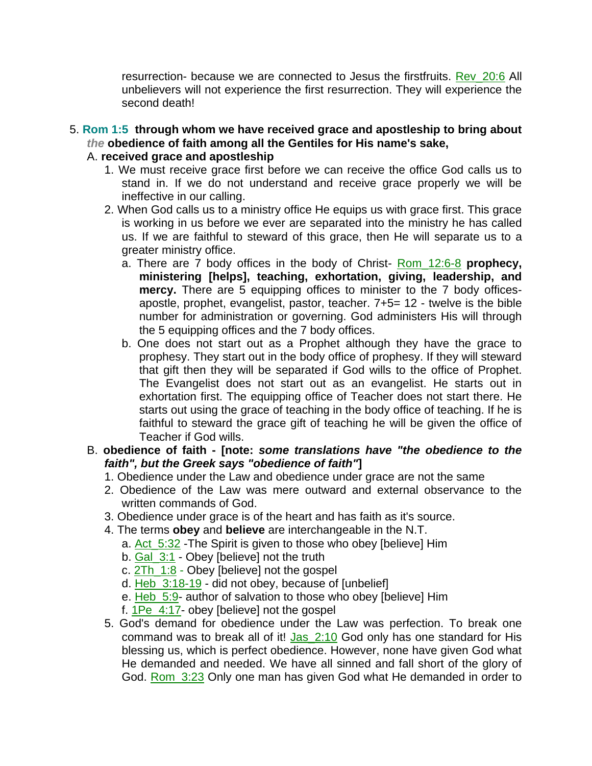resurrection- because we are connected to Jesus the firstfruits. Rev\_20:6 All unbelievers will not experience the first resurrection. They will experience the second death!

5. **Rom 1:5 through whom we have received grace and apostleship to bring about**  *the* **obedience of faith among all the Gentiles for His name's sake,** 

# A. **received grace and apostleship**

- 1. We must receive grace first before we can receive the office God calls us to stand in. If we do not understand and receive grace properly we will be ineffective in our calling.
- 2. When God calls us to a ministry office He equips us with grace first. This grace is working in us before we ever are separated into the ministry he has called us. If we are faithful to steward of this grace, then He will separate us to a greater ministry office.
	- a. There are 7 body offices in the body of Christ- Rom\_12:6-8 **prophecy, ministering [helps], teaching, exhortation, giving, leadership, and mercy.** There are 5 equipping offices to minister to the 7 body officesapostle, prophet, evangelist, pastor, teacher. 7+5= 12 - twelve is the bible number for administration or governing. God administers His will through the 5 equipping offices and the 7 body offices.
	- b. One does not start out as a Prophet although they have the grace to prophesy. They start out in the body office of prophesy. If they will steward that gift then they will be separated if God wills to the office of Prophet. The Evangelist does not start out as an evangelist. He starts out in exhortation first. The equipping office of Teacher does not start there. He starts out using the grace of teaching in the body office of teaching. If he is faithful to steward the grace gift of teaching he will be given the office of Teacher if God wills.
- B. **obedience of faith - [note:** *some translations have "the obedience to the faith", but the Greek says "obedience of faith"***]**
	- 1. Obedience under the Law and obedience under grace are not the same
	- 2. Obedience of the Law was mere outward and external observance to the written commands of God.
	- 3. Obedience under grace is of the heart and has faith as it's source.
	- 4. The terms **obey** and **believe** are interchangeable in the N.T.
		- a. Act 5:32 -The Spirit is given to those who obey [believe] Him
		- b. Gal\_3:1 Obey [believe] not the truth
		- c. 2Th\_1:8 Obey [believe] not the gospel
		- d. Heb 3:18-19 did not obey, because of [unbelief]
		- e. Heb\_5:9- author of salvation to those who obey [believe] Him
		- f. 1Pe\_4:17- obey [believe] not the gospel
	- 5. God's demand for obedience under the Law was perfection. To break one command was to break all of it! Jas\_2:10 God only has one standard for His blessing us, which is perfect obedience. However, none have given God what He demanded and needed. We have all sinned and fall short of the glory of God. Rom 3:23 Only one man has given God what He demanded in order to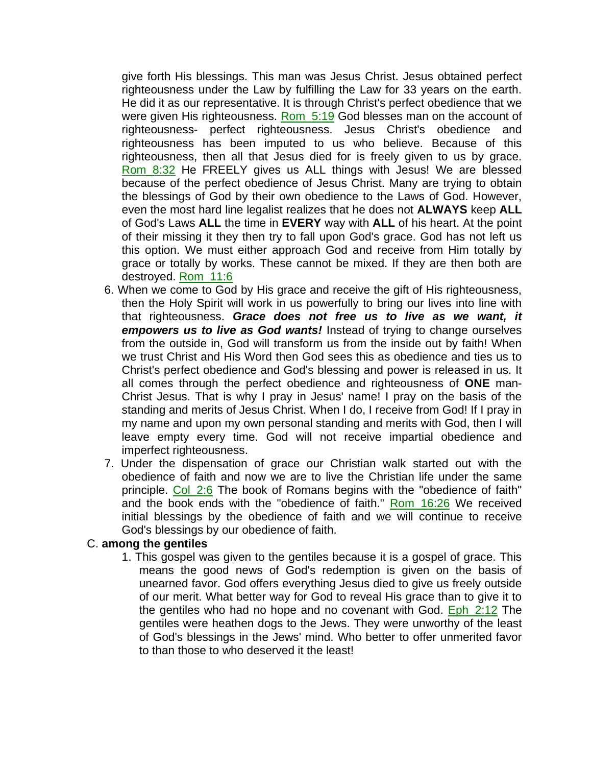give forth His blessings. This man was Jesus Christ. Jesus obtained perfect righteousness under the Law by fulfilling the Law for 33 years on the earth. He did it as our representative. It is through Christ's perfect obedience that we were given His righteousness. Rom\_5:19 God blesses man on the account of righteousness- perfect righteousness. Jesus Christ's obedience and righteousness has been imputed to us who believe. Because of this righteousness, then all that Jesus died for is freely given to us by grace. Rom\_8:32 He FREELY gives us ALL things with Jesus! We are blessed because of the perfect obedience of Jesus Christ. Many are trying to obtain the blessings of God by their own obedience to the Laws of God. However, even the most hard line legalist realizes that he does not **ALWAYS** keep **ALL** of God's Laws **ALL** the time in **EVERY** way with **ALL** of his heart. At the point of their missing it they then try to fall upon God's grace. God has not left us this option. We must either approach God and receive from Him totally by grace or totally by works. These cannot be mixed. If they are then both are destroyed. Rom\_11:6

- 6. When we come to God by His grace and receive the gift of His righteousness, then the Holy Spirit will work in us powerfully to bring our lives into line with that righteousness. *Grace does not free us to live as we want, it empowers us to live as God wants!* Instead of trying to change ourselves from the outside in, God will transform us from the inside out by faith! When we trust Christ and His Word then God sees this as obedience and ties us to Christ's perfect obedience and God's blessing and power is released in us. It all comes through the perfect obedience and righteousness of **ONE** man-Christ Jesus. That is why I pray in Jesus' name! I pray on the basis of the standing and merits of Jesus Christ. When I do, I receive from God! If I pray in my name and upon my own personal standing and merits with God, then I will leave empty every time. God will not receive impartial obedience and imperfect righteousness.
- 7. Under the dispensation of grace our Christian walk started out with the obedience of faith and now we are to live the Christian life under the same principle. Col\_2:6 The book of Romans begins with the "obedience of faith" and the book ends with the "obedience of faith." Rom\_16:26 We received initial blessings by the obedience of faith and we will continue to receive God's blessings by our obedience of faith.

#### C. **among the gentiles**

1. This gospel was given to the gentiles because it is a gospel of grace. This means the good news of God's redemption is given on the basis of unearned favor. God offers everything Jesus died to give us freely outside of our merit. What better way for God to reveal His grace than to give it to the gentiles who had no hope and no covenant with God. **Eph\_2:12** The gentiles were heathen dogs to the Jews. They were unworthy of the least of God's blessings in the Jews' mind. Who better to offer unmerited favor to than those to who deserved it the least!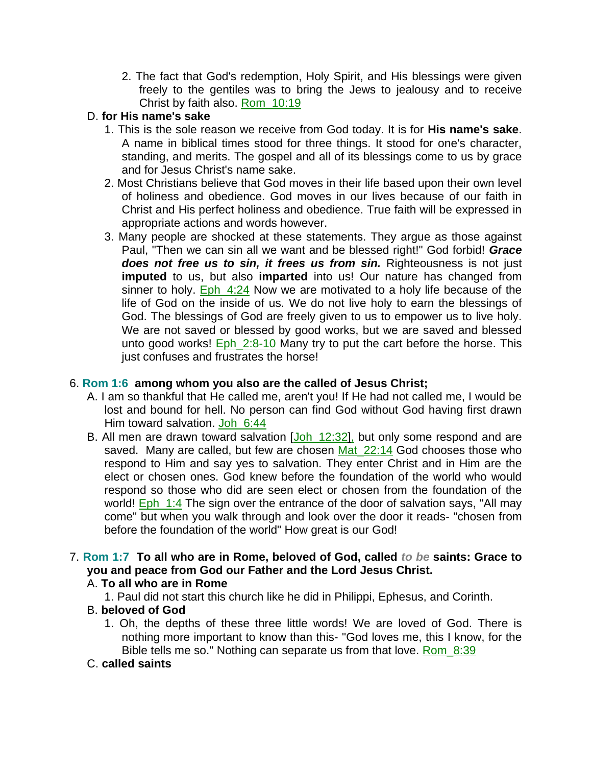2. The fact that God's redemption, Holy Spirit, and His blessings were given freely to the gentiles was to bring the Jews to jealousy and to receive Christ by faith also. Rom\_10:19

## D. **for His name's sake**

- 1. This is the sole reason we receive from God today. It is for **His name's sake**. A name in biblical times stood for three things. It stood for one's character, standing, and merits. The gospel and all of its blessings come to us by grace and for Jesus Christ's name sake.
- 2. Most Christians believe that God moves in their life based upon their own level of holiness and obedience. God moves in our lives because of our faith in Christ and His perfect holiness and obedience. True faith will be expressed in appropriate actions and words however.
- 3. Many people are shocked at these statements. They argue as those against Paul, "Then we can sin all we want and be blessed right!" God forbid! *Grace does not free us to sin, it frees us from sin.* Righteousness is not just **imputed** to us, but also **imparted** into us! Our nature has changed from sinner to holy. Eph\_4:24 Now we are motivated to a holy life because of the life of God on the inside of us. We do not live holy to earn the blessings of God. The blessings of God are freely given to us to empower us to live holy. We are not saved or blessed by good works, but we are saved and blessed unto good works! Eph 2:8-10 Many try to put the cart before the horse. This just confuses and frustrates the horse!

### 6. **Rom 1:6 among whom you also are the called of Jesus Christ;**

- A. I am so thankful that He called me, aren't you! If He had not called me, I would be lost and bound for hell. No person can find God without God having first drawn Him toward salvation. Joh\_6:44
- B. All men are drawn toward salvation [Joh\_12:32], but only some respond and are saved. Many are called, but few are chosen Mat\_22:14 God chooses those who respond to Him and say yes to salvation. They enter Christ and in Him are the elect or chosen ones. God knew before the foundation of the world who would respond so those who did are seen elect or chosen from the foundation of the world! Eph\_1:4 The sign over the entrance of the door of salvation says, "All may come" but when you walk through and look over the door it reads- "chosen from before the foundation of the world" How great is our God!

# 7. **Rom 1:7 To all who are in Rome, beloved of God, called** *to be* **saints: Grace to you and peace from God our Father and the Lord Jesus Christ.**

### A. **To all who are in Rome**

1. Paul did not start this church like he did in Philippi, Ephesus, and Corinth.

### B. **beloved of God**

1. Oh, the depths of these three little words! We are loved of God. There is nothing more important to know than this- "God loves me, this I know, for the Bible tells me so." Nothing can separate us from that love. Rom 8:39

### C. **called saints**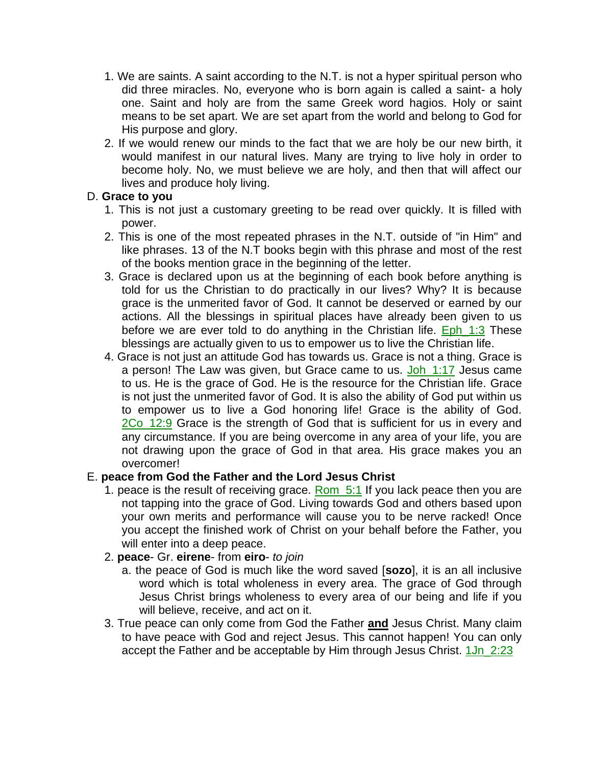- 1. We are saints. A saint according to the N.T. is not a hyper spiritual person who did three miracles. No, everyone who is born again is called a saint- a holy one. Saint and holy are from the same Greek word hagios. Holy or saint means to be set apart. We are set apart from the world and belong to God for His purpose and glory.
- 2. If we would renew our minds to the fact that we are holy be our new birth, it would manifest in our natural lives. Many are trying to live holy in order to become holy. No, we must believe we are holy, and then that will affect our lives and produce holy living.

## D. **Grace to you**

- 1. This is not just a customary greeting to be read over quickly. It is filled with power.
- 2. This is one of the most repeated phrases in the N.T. outside of "in Him" and like phrases. 13 of the N.T books begin with this phrase and most of the rest of the books mention grace in the beginning of the letter.
- 3. Grace is declared upon us at the beginning of each book before anything is told for us the Christian to do practically in our lives? Why? It is because grace is the unmerited favor of God. It cannot be deserved or earned by our actions. All the blessings in spiritual places have already been given to us before we are ever told to do anything in the Christian life. Eph\_1:3 These blessings are actually given to us to empower us to live the Christian life.
- 4. Grace is not just an attitude God has towards us. Grace is not a thing. Grace is a person! The Law was given, but Grace came to us. Joh\_1:17 Jesus came to us. He is the grace of God. He is the resource for the Christian life. Grace is not just the unmerited favor of God. It is also the ability of God put within us to empower us to live a God honoring life! Grace is the ability of God. 2Co\_12:9 Grace is the strength of God that is sufficient for us in every and any circumstance. If you are being overcome in any area of your life, you are not drawing upon the grace of God in that area. His grace makes you an overcomer!

### E. **peace from God the Father and the Lord Jesus Christ**

- 1. peace is the result of receiving grace.  $\frac{\text{Rom } 5:1}{\text{Sim } 5:1}$  If you lack peace then you are not tapping into the grace of God. Living towards God and others based upon your own merits and performance will cause you to be nerve racked! Once you accept the finished work of Christ on your behalf before the Father, you will enter into a deep peace.
- 2. **peace** Gr. **eirene** from **eiro** *to join*
	- a. the peace of God is much like the word saved [**sozo**], it is an all inclusive word which is total wholeness in every area. The grace of God through Jesus Christ brings wholeness to every area of our being and life if you will believe, receive, and act on it.
- 3. True peace can only come from God the Father **and** Jesus Christ. Many claim to have peace with God and reject Jesus. This cannot happen! You can only accept the Father and be acceptable by Him through Jesus Christ. 1Jn\_2:23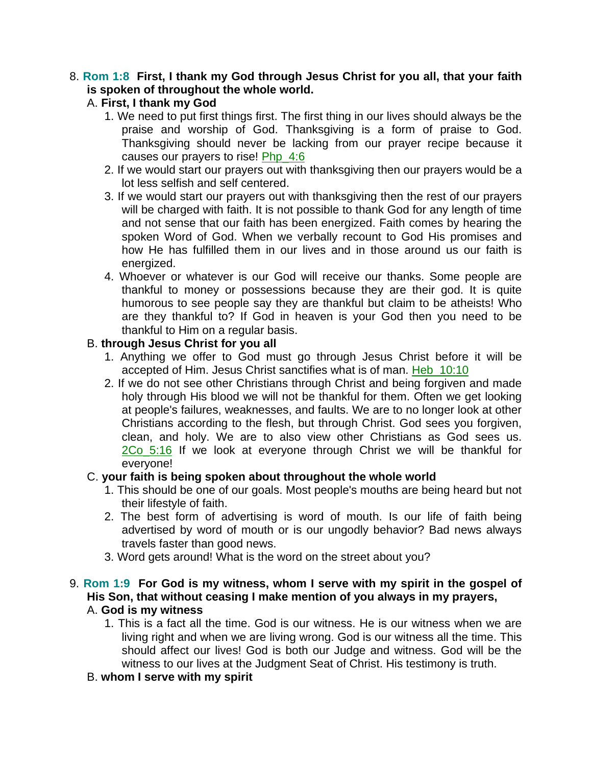### 8. **Rom 1:8 First, I thank my God through Jesus Christ for you all, that your faith is spoken of throughout the whole world.**

## A. **First, I thank my God**

- 1. We need to put first things first. The first thing in our lives should always be the praise and worship of God. Thanksgiving is a form of praise to God. Thanksgiving should never be lacking from our prayer recipe because it causes our prayers to rise! Php\_4:6
- 2. If we would start our prayers out with thanksgiving then our prayers would be a lot less selfish and self centered.
- 3. If we would start our prayers out with thanksgiving then the rest of our prayers will be charged with faith. It is not possible to thank God for any length of time and not sense that our faith has been energized. Faith comes by hearing the spoken Word of God. When we verbally recount to God His promises and how He has fulfilled them in our lives and in those around us our faith is energized.
- 4. Whoever or whatever is our God will receive our thanks. Some people are thankful to money or possessions because they are their god. It is quite humorous to see people say they are thankful but claim to be atheists! Who are they thankful to? If God in heaven is your God then you need to be thankful to Him on a regular basis.

### B. **through Jesus Christ for you all**

- 1. Anything we offer to God must go through Jesus Christ before it will be accepted of Him. Jesus Christ sanctifies what is of man. Heb\_10:10
- 2. If we do not see other Christians through Christ and being forgiven and made holy through His blood we will not be thankful for them. Often we get looking at people's failures, weaknesses, and faults. We are to no longer look at other Christians according to the flesh, but through Christ. God sees you forgiven, clean, and holy. We are to also view other Christians as God sees us. 2Co\_5:16 If we look at everyone through Christ we will be thankful for everyone!

### C. **your faith is being spoken about throughout the whole world**

- 1. This should be one of our goals. Most people's mouths are being heard but not their lifestyle of faith.
- 2. The best form of advertising is word of mouth. Is our life of faith being advertised by word of mouth or is our ungodly behavior? Bad news alwavs travels faster than good news.
- 3. Word gets around! What is the word on the street about you?

### 9. **Rom 1:9 For God is my witness, whom I serve with my spirit in the gospel of His Son, that without ceasing I make mention of you always in my prayers,**  A. **God is my witness**

1. This is a fact all the time. God is our witness. He is our witness when we are living right and when we are living wrong. God is our witness all the time. This should affect our lives! God is both our Judge and witness. God will be the witness to our lives at the Judgment Seat of Christ. His testimony is truth.

## B. **whom I serve with my spirit**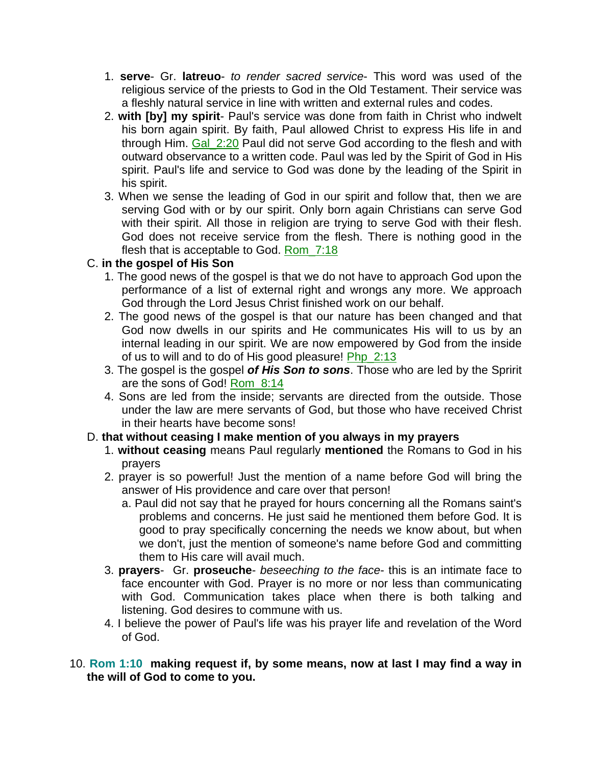- 1. **serve** Gr. **latreuo** *to render sacred service* This word was used of the religious service of the priests to God in the Old Testament. Their service was a fleshly natural service in line with written and external rules and codes.
- 2. **with [by] my spirit** Paul's service was done from faith in Christ who indwelt his born again spirit. By faith, Paul allowed Christ to express His life in and through Him. Gal\_2:20 Paul did not serve God according to the flesh and with outward observance to a written code. Paul was led by the Spirit of God in His spirit. Paul's life and service to God was done by the leading of the Spirit in his spirit.
- 3. When we sense the leading of God in our spirit and follow that, then we are serving God with or by our spirit. Only born again Christians can serve God with their spirit. All those in religion are trying to serve God with their flesh. God does not receive service from the flesh. There is nothing good in the flesh that is acceptable to God. Rom\_7:18

# C. **in the gospel of His Son**

- 1. The good news of the gospel is that we do not have to approach God upon the performance of a list of external right and wrongs any more. We approach God through the Lord Jesus Christ finished work on our behalf.
- 2. The good news of the gospel is that our nature has been changed and that God now dwells in our spirits and He communicates His will to us by an internal leading in our spirit. We are now empowered by God from the inside of us to will and to do of His good pleasure! Php\_2:13
- 3. The gospel is the gospel *of His Son to sons*. Those who are led by the Spririt are the sons of God! Rom\_8:14
- 4. Sons are led from the inside; servants are directed from the outside. Those under the law are mere servants of God, but those who have received Christ in their hearts have become sons!

## D. **that without ceasing I make mention of you always in my prayers**

- 1. **without ceasing** means Paul regularly **mentioned** the Romans to God in his prayers
- 2. prayer is so powerful! Just the mention of a name before God will bring the answer of His providence and care over that person!
	- a. Paul did not say that he prayed for hours concerning all the Romans saint's problems and concerns. He just said he mentioned them before God. It is good to pray specifically concerning the needs we know about, but when we don't, just the mention of someone's name before God and committing them to His care will avail much.
- 3. **prayers** Gr. **proseuche** *beseeching to the face* this is an intimate face to face encounter with God. Prayer is no more or nor less than communicating with God. Communication takes place when there is both talking and listening. God desires to commune with us.
- 4. I believe the power of Paul's life was his prayer life and revelation of the Word of God.

10. **Rom 1:10 making request if, by some means, now at last I may find a way in the will of God to come to you.**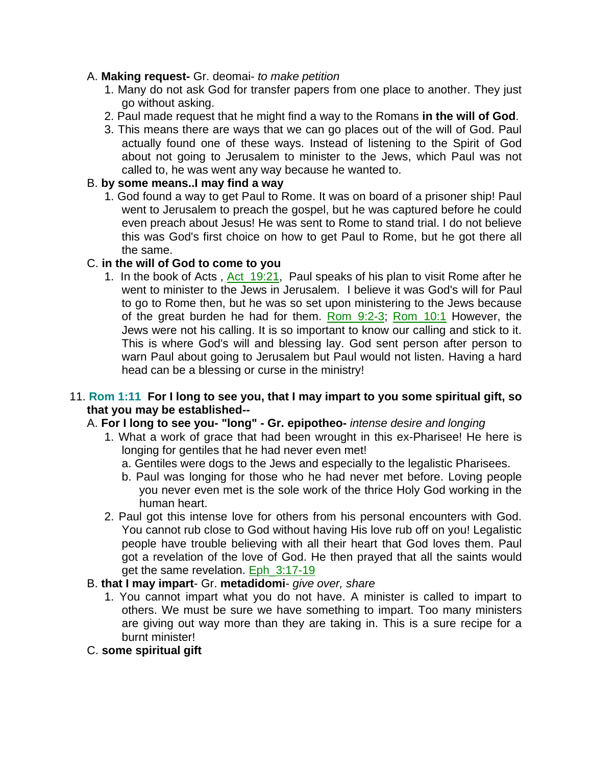### A. **Making request-** Gr. deomai- *to make petition*

- 1. Many do not ask God for transfer papers from one place to another. They just go without asking.
- 2. Paul made request that he might find a way to the Romans **in the will of God**.
- 3. This means there are ways that we can go places out of the will of God. Paul actually found one of these ways. Instead of listening to the Spirit of God about not going to Jerusalem to minister to the Jews, which Paul was not called to, he was went any way because he wanted to.

## B. **by some means..I may find a way**

1. God found a way to get Paul to Rome. It was on board of a prisoner ship! Paul went to Jerusalem to preach the gospel, but he was captured before he could even preach about Jesus! He was sent to Rome to stand trial. I do not believe this was God's first choice on how to get Paul to Rome, but he got there all the same.

## C. **in the will of God to come to you**

1. In the book of Acts, Act 19:21, Paul speaks of his plan to visit Rome after he went to minister to the Jews in Jerusalem. I believe it was God's will for Paul to go to Rome then, but he was so set upon ministering to the Jews because of the great burden he had for them. Rom\_9:2-3; Rom\_10:1 However, the Jews were not his calling. It is so important to know our calling and stick to it. This is where God's will and blessing lay. God sent person after person to warn Paul about going to Jerusalem but Paul would not listen. Having a hard head can be a blessing or curse in the ministry!

## 11. **Rom 1:11 For I long to see you, that I may impart to you some spiritual gift, so that you may be established--**

# A. **For I long to see you- "long" - Gr. epipotheo-** *intense desire and longing*

- 1. What a work of grace that had been wrought in this ex-Pharisee! He here is longing for gentiles that he had never even met!
	- a. Gentiles were dogs to the Jews and especially to the legalistic Pharisees.
	- b. Paul was longing for those who he had never met before. Loving people you never even met is the sole work of the thrice Holy God working in the human heart.
- 2. Paul got this intense love for others from his personal encounters with God. You cannot rub close to God without having His love rub off on you! Legalistic people have trouble believing with all their heart that God loves them. Paul got a revelation of the love of God. He then prayed that all the saints would get the same revelation. Eph\_3:17-19

## B. **that I may impart**- Gr. **metadidomi**- *give over, share*

- 1. You cannot impart what you do not have. A minister is called to impart to others. We must be sure we have something to impart. Too many ministers are giving out way more than they are taking in. This is a sure recipe for a burnt minister!
- C. **some spiritual gift**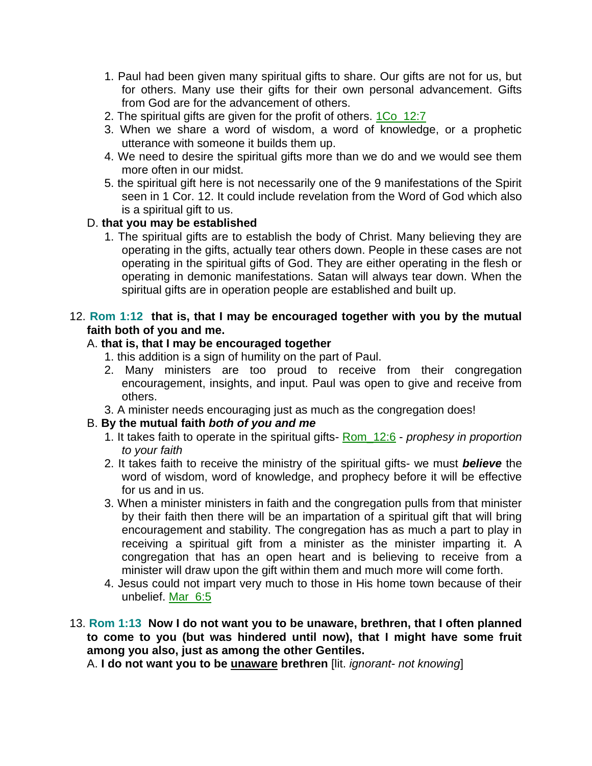- 1. Paul had been given many spiritual gifts to share. Our gifts are not for us, but for others. Many use their gifts for their own personal advancement. Gifts from God are for the advancement of others.
- 2. The spiritual gifts are given for the profit of others. 1Co\_12:7
- 3. When we share a word of wisdom, a word of knowledge, or a prophetic utterance with someone it builds them up.
- 4. We need to desire the spiritual gifts more than we do and we would see them more often in our midst.
- 5. the spiritual gift here is not necessarily one of the 9 manifestations of the Spirit seen in 1 Cor. 12. It could include revelation from the Word of God which also is a spiritual gift to us.

## D. **that you may be established**

1. The spiritual gifts are to establish the body of Christ. Many believing they are operating in the gifts, actually tear others down. People in these cases are not operating in the spiritual gifts of God. They are either operating in the flesh or operating in demonic manifestations. Satan will always tear down. When the spiritual gifts are in operation people are established and built up.

## 12. **Rom 1:12 that is, that I may be encouraged together with you by the mutual faith both of you and me.**

## A. **that is, that I may be encouraged together**

- 1. this addition is a sign of humility on the part of Paul.
- 2. Many ministers are too proud to receive from their congregation encouragement, insights, and input. Paul was open to give and receive from others.
- 3. A minister needs encouraging just as much as the congregation does!

## B. **By the mutual faith** *both of you and me*

- 1. It takes faith to operate in the spiritual gifts- Rom\_12:6 *prophesy in proportion to your faith*
- 2. It takes faith to receive the ministry of the spiritual gifts- we must *believe* the word of wisdom, word of knowledge, and prophecy before it will be effective for us and in us.
- 3. When a minister ministers in faith and the congregation pulls from that minister by their faith then there will be an impartation of a spiritual gift that will bring encouragement and stability. The congregation has as much a part to play in receiving a spiritual gift from a minister as the minister imparting it. A congregation that has an open heart and is believing to receive from a minister will draw upon the gift within them and much more will come forth.
- 4. Jesus could not impart very much to those in His home town because of their unbelief. Mar\_6:5
- 13. **Rom 1:13 Now I do not want you to be unaware, brethren, that I often planned to come to you (but was hindered until now), that I might have some fruit among you also, just as among the other Gentiles.**

A. **I do not want you to be unaware brethren** [lit. *ignorant- not knowing*]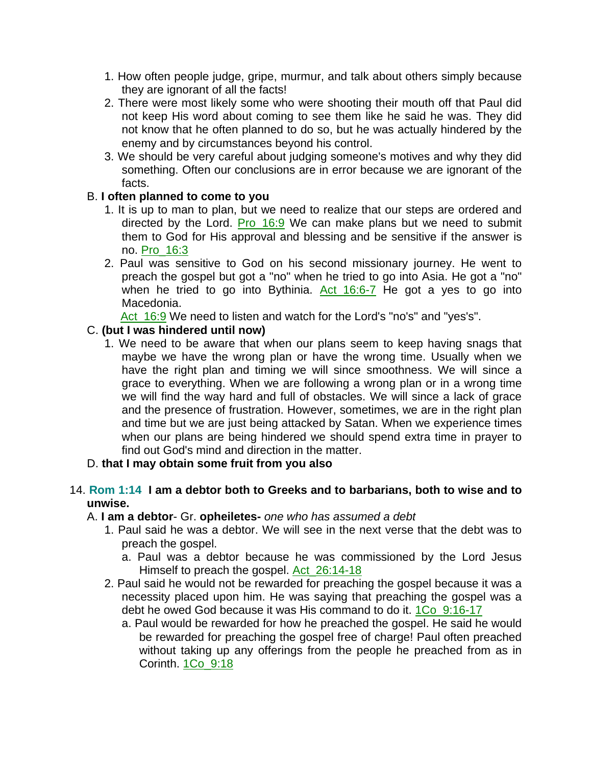- 1. How often people judge, gripe, murmur, and talk about others simply because they are ignorant of all the facts!
- 2. There were most likely some who were shooting their mouth off that Paul did not keep His word about coming to see them like he said he was. They did not know that he often planned to do so, but he was actually hindered by the enemy and by circumstances beyond his control.
- 3. We should be very careful about judging someone's motives and why they did something. Often our conclusions are in error because we are ignorant of the facts.

## B. **I often planned to come to you**

- 1. It is up to man to plan, but we need to realize that our steps are ordered and directed by the Lord. Pro\_16:9 We can make plans but we need to submit them to God for His approval and blessing and be sensitive if the answer is no. Pro\_16:3
- 2. Paul was sensitive to God on his second missionary journey. He went to preach the gospel but got a "no" when he tried to go into Asia. He got a "no" when he tried to go into Bythinia. Act 16:6-7 He got a yes to go into Macedonia.

Act 16:9 We need to listen and watch for the Lord's "no's" and "yes's".

## C. **(but I was hindered until now)**

1. We need to be aware that when our plans seem to keep having snags that maybe we have the wrong plan or have the wrong time. Usually when we have the right plan and timing we will since smoothness. We will since a grace to everything. When we are following a wrong plan or in a wrong time we will find the way hard and full of obstacles. We will since a lack of grace and the presence of frustration. However, sometimes, we are in the right plan and time but we are just being attacked by Satan. When we experience times when our plans are being hindered we should spend extra time in prayer to find out God's mind and direction in the matter.

## D. **that I may obtain some fruit from you also**

## 14. **Rom 1:14 I am a debtor both to Greeks and to barbarians, both to wise and to unwise.**

### A. **I am a debtor**- Gr. **opheiletes-** *one who has assumed a debt*

- 1. Paul said he was a debtor. We will see in the next verse that the debt was to preach the gospel.
	- a. Paul was a debtor because he was commissioned by the Lord Jesus Himself to preach the gospel. Act\_26:14-18
- 2. Paul said he would not be rewarded for preaching the gospel because it was a necessity placed upon him. He was saying that preaching the gospel was a debt he owed God because it was His command to do it. 1Co\_9:16-17
	- a. Paul would be rewarded for how he preached the gospel. He said he would be rewarded for preaching the gospel free of charge! Paul often preached without taking up any offerings from the people he preached from as in Corinth. 1Co\_9:18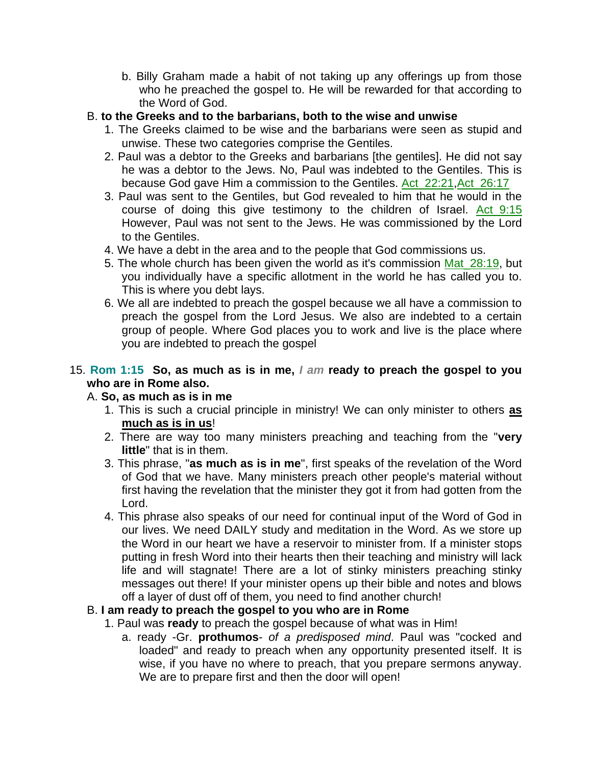- b. Billy Graham made a habit of not taking up any offerings up from those who he preached the gospel to. He will be rewarded for that according to the Word of God.
- B. **to the Greeks and to the barbarians, both to the wise and unwise**
	- 1. The Greeks claimed to be wise and the barbarians were seen as stupid and unwise. These two categories comprise the Gentiles.
	- 2. Paul was a debtor to the Greeks and barbarians [the gentiles]. He did not say he was a debtor to the Jews. No, Paul was indebted to the Gentiles. This is because God gave Him a commission to the Gentiles. Act\_22:21,Act\_26:17
	- 3. Paul was sent to the Gentiles, but God revealed to him that he would in the course of doing this give testimony to the children of Israel. Act 9:15 However, Paul was not sent to the Jews. He was commissioned by the Lord to the Gentiles.
	- 4. We have a debt in the area and to the people that God commissions us.
	- 5. The whole church has been given the world as it's commission Mat\_28:19, but you individually have a specific allotment in the world he has called you to. This is where you debt lays.
	- 6. We all are indebted to preach the gospel because we all have a commission to preach the gospel from the Lord Jesus. We also are indebted to a certain group of people. Where God places you to work and live is the place where you are indebted to preach the gospel

# 15. **Rom 1:15 So, as much as is in me,** *I am* **ready to preach the gospel to you who are in Rome also.**

## A. **So, as much as is in me**

- 1. This is such a crucial principle in ministry! We can only minister to others **as much as is in us**!
- 2. There are way too many ministers preaching and teaching from the "**very little**" that is in them.
- 3. This phrase, "**as much as is in me**", first speaks of the revelation of the Word of God that we have. Many ministers preach other people's material without first having the revelation that the minister they got it from had gotten from the Lord.
- 4. This phrase also speaks of our need for continual input of the Word of God in our lives. We need DAILY study and meditation in the Word. As we store up the Word in our heart we have a reservoir to minister from. If a minister stops putting in fresh Word into their hearts then their teaching and ministry will lack life and will stagnate! There are a lot of stinky ministers preaching stinky messages out there! If your minister opens up their bible and notes and blows off a layer of dust off of them, you need to find another church!

# B. **I am ready to preach the gospel to you who are in Rome**

- 1. Paul was **ready** to preach the gospel because of what was in Him!
	- a. ready -Gr. **prothumos** *of a predisposed mind*. Paul was "cocked and loaded" and ready to preach when any opportunity presented itself. It is wise, if you have no where to preach, that you prepare sermons anyway. We are to prepare first and then the door will open!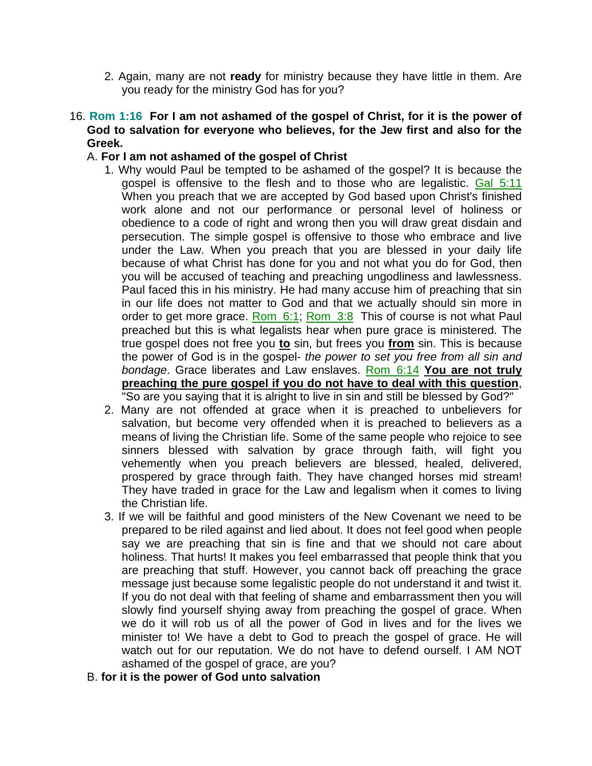2. Again, many are not **ready** for ministry because they have little in them. Are you ready for the ministry God has for you?

### 16. **Rom 1:16 For I am not ashamed of the gospel of Christ, for it is the power of God to salvation for everyone who believes, for the Jew first and also for the Greek.**

### A. **For I am not ashamed of the gospel of Christ**

- 1. Why would Paul be tempted to be ashamed of the gospel? It is because the gospel is offensive to the flesh and to those who are legalistic. Gal 5:11 When you preach that we are accepted by God based upon Christ's finished work alone and not our performance or personal level of holiness or obedience to a code of right and wrong then you will draw great disdain and persecution. The simple gospel is offensive to those who embrace and live under the Law. When you preach that you are blessed in your daily life because of what Christ has done for you and not what you do for God, then you will be accused of teaching and preaching ungodliness and lawlessness. Paul faced this in his ministry. He had many accuse him of preaching that sin in our life does not matter to God and that we actually should sin more in order to get more grace. Rom\_6:1; Rom\_3:8 This of course is not what Paul preached but this is what legalists hear when pure grace is ministered. The true gospel does not free you **to** sin, but frees you **from** sin. This is because the power of God is in the gospel- *the power to set you free from all sin and bondage*. Grace liberates and Law enslaves. Rom\_6:14 **You are not truly preaching the pure gospel if you do not have to deal with this question**, "So are you saying that it is alright to live in sin and still be blessed by God?"
- 2. Many are not offended at grace when it is preached to unbelievers for salvation, but become very offended when it is preached to believers as a means of living the Christian life. Some of the same people who rejoice to see sinners blessed with salvation by grace through faith, will fight you vehemently when you preach believers are blessed, healed, delivered, prospered by grace through faith. They have changed horses mid stream! They have traded in grace for the Law and legalism when it comes to living the Christian life.
- 3. If we will be faithful and good ministers of the New Covenant we need to be prepared to be riled against and lied about. It does not feel good when people say we are preaching that sin is fine and that we should not care about holiness. That hurts! It makes you feel embarrassed that people think that you are preaching that stuff. However, you cannot back off preaching the grace message just because some legalistic people do not understand it and twist it. If you do not deal with that feeling of shame and embarrassment then you will slowly find yourself shying away from preaching the gospel of grace. When we do it will rob us of all the power of God in lives and for the lives we minister to! We have a debt to God to preach the gospel of grace. He will watch out for our reputation. We do not have to defend ourself. I AM NOT ashamed of the gospel of grace, are you?
- B. **for it is the power of God unto salvation**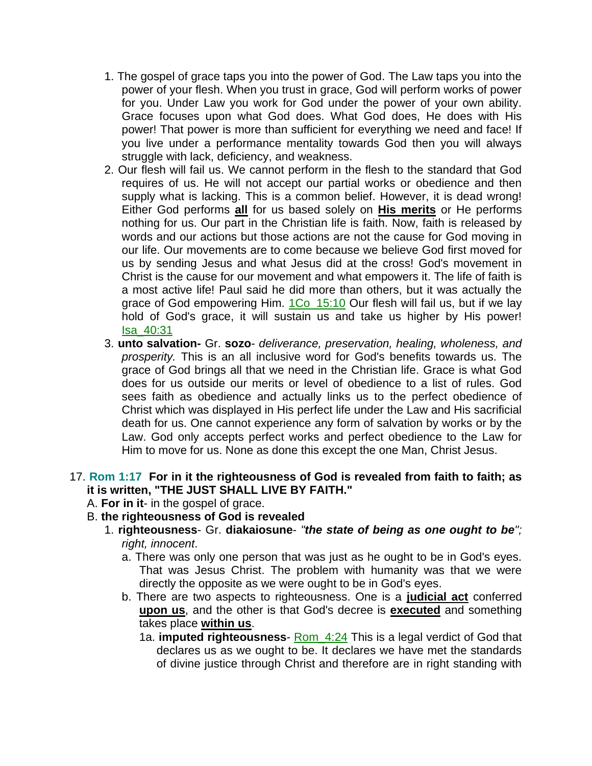- 1. The gospel of grace taps you into the power of God. The Law taps you into the power of your flesh. When you trust in grace, God will perform works of power for you. Under Law you work for God under the power of your own ability. Grace focuses upon what God does. What God does, He does with His power! That power is more than sufficient for everything we need and face! If you live under a performance mentality towards God then you will always struggle with lack, deficiency, and weakness.
- 2. Our flesh will fail us. We cannot perform in the flesh to the standard that God requires of us. He will not accept our partial works or obedience and then supply what is lacking. This is a common belief. However, it is dead wrong! Either God performs **all** for us based solely on **His merits** or He performs nothing for us. Our part in the Christian life is faith. Now, faith is released by words and our actions but those actions are not the cause for God moving in our life. Our movements are to come because we believe God first moved for us by sending Jesus and what Jesus did at the cross! God's movement in Christ is the cause for our movement and what empowers it. The life of faith is a most active life! Paul said he did more than others, but it was actually the grace of God empowering Him. 1Co\_15:10 Our flesh will fail us, but if we lay hold of God's grace, it will sustain us and take us higher by His power! Isa\_40:31
- 3. **unto salvation-** Gr. **sozo** *deliverance, preservation, healing, wholeness, and prosperity.* This is an all inclusive word for God's benefits towards us. The grace of God brings all that we need in the Christian life. Grace is what God does for us outside our merits or level of obedience to a list of rules. God sees faith as obedience and actually links us to the perfect obedience of Christ which was displayed in His perfect life under the Law and His sacrificial death for us. One cannot experience any form of salvation by works or by the Law. God only accepts perfect works and perfect obedience to the Law for Him to move for us. None as done this except the one Man, Christ Jesus.

### 17. **Rom 1:17 For in it the righteousness of God is revealed from faith to faith; as it is written, "THE JUST SHALL LIVE BY FAITH."**

- A. **For in it** in the gospel of grace.
- B. **the righteousness of God is revealed**
	- 1. **righteousness** Gr. **diakaiosune** *"the state of being as one ought to be"; right, innocent*.
		- a. There was only one person that was just as he ought to be in God's eyes. That was Jesus Christ. The problem with humanity was that we were directly the opposite as we were ought to be in God's eyes.
		- b. There are two aspects to righteousness. One is a **judicial act** conferred **upon us**, and the other is that God's decree is **executed** and something takes place **within us**.
			- 1a. **imputed righteousness** Rom\_4:24 This is a legal verdict of God that declares us as we ought to be. It declares we have met the standards of divine justice through Christ and therefore are in right standing with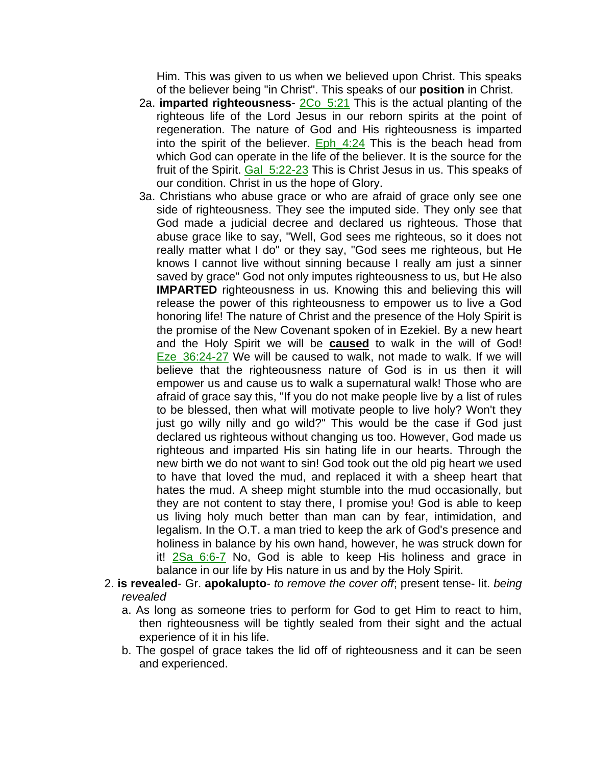Him. This was given to us when we believed upon Christ. This speaks of the believer being "in Christ". This speaks of our **position** in Christ.

- 2a. **imparted righteousness** 2Co\_5:21 This is the actual planting of the righteous life of the Lord Jesus in our reborn spirits at the point of regeneration. The nature of God and His righteousness is imparted into the spirit of the believer. Eph\_4:24 This is the beach head from which God can operate in the life of the believer. It is the source for the fruit of the Spirit. Gal\_5:22-23 This is Christ Jesus in us. This speaks of our condition. Christ in us the hope of Glory.
- 3a. Christians who abuse grace or who are afraid of grace only see one side of righteousness. They see the imputed side. They only see that God made a judicial decree and declared us righteous. Those that abuse grace like to say, "Well, God sees me righteous, so it does not really matter what I do" or they say, "God sees me righteous, but He knows I cannot live without sinning because I really am just a sinner saved by grace" God not only imputes righteousness to us, but He also **IMPARTED** righteousness in us. Knowing this and believing this will release the power of this righteousness to empower us to live a God honoring life! The nature of Christ and the presence of the Holy Spirit is the promise of the New Covenant spoken of in Ezekiel. By a new heart and the Holy Spirit we will be **caused** to walk in the will of God! Eze 36:24-27 We will be caused to walk, not made to walk. If we will believe that the righteousness nature of God is in us then it will empower us and cause us to walk a supernatural walk! Those who are afraid of grace say this, "If you do not make people live by a list of rules to be blessed, then what will motivate people to live holy? Won't they just go willy nilly and go wild?" This would be the case if God just declared us righteous without changing us too. However, God made us righteous and imparted His sin hating life in our hearts. Through the new birth we do not want to sin! God took out the old pig heart we used to have that loved the mud, and replaced it with a sheep heart that hates the mud. A sheep might stumble into the mud occasionally, but they are not content to stay there, I promise you! God is able to keep us living holy much better than man can by fear, intimidation, and legalism. In the O.T. a man tried to keep the ark of God's presence and holiness in balance by his own hand, however, he was struck down for it! 2Sa\_6:6-7 No, God is able to keep His holiness and grace in balance in our life by His nature in us and by the Holy Spirit.
- 2. **is revealed** Gr. **apokalupto** *to remove the cover off*; present tense- lit. *being revealed*
	- a. As long as someone tries to perform for God to get Him to react to him, then righteousness will be tightly sealed from their sight and the actual experience of it in his life.
	- b. The gospel of grace takes the lid off of righteousness and it can be seen and experienced.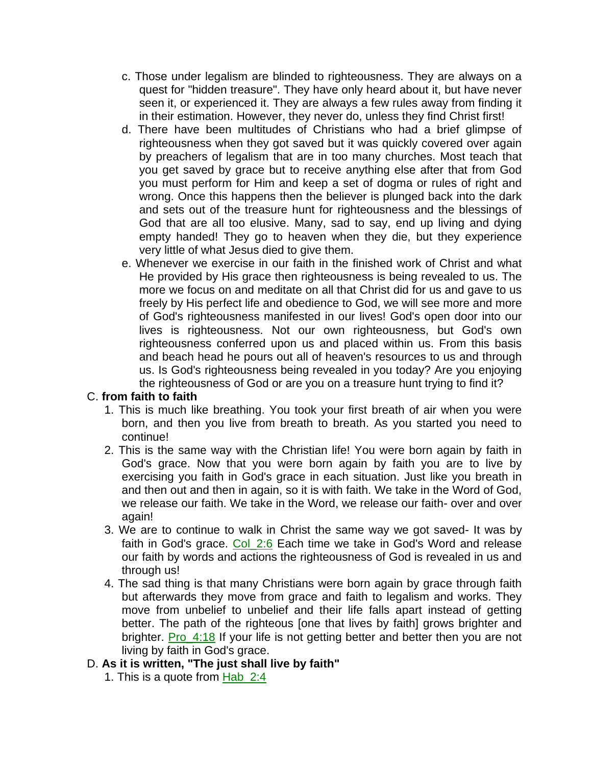- c. Those under legalism are blinded to righteousness. They are always on a quest for "hidden treasure". They have only heard about it, but have never seen it, or experienced it. They are always a few rules away from finding it in their estimation. However, they never do, unless they find Christ first!
- d. There have been multitudes of Christians who had a brief glimpse of righteousness when they got saved but it was quickly covered over again by preachers of legalism that are in too many churches. Most teach that you get saved by grace but to receive anything else after that from God you must perform for Him and keep a set of dogma or rules of right and wrong. Once this happens then the believer is plunged back into the dark and sets out of the treasure hunt for righteousness and the blessings of God that are all too elusive. Many, sad to say, end up living and dying empty handed! They go to heaven when they die, but they experience very little of what Jesus died to give them.
- e. Whenever we exercise in our faith in the finished work of Christ and what He provided by His grace then righteousness is being revealed to us. The more we focus on and meditate on all that Christ did for us and gave to us freely by His perfect life and obedience to God, we will see more and more of God's righteousness manifested in our lives! God's open door into our lives is righteousness. Not our own righteousness, but God's own righteousness conferred upon us and placed within us. From this basis and beach head he pours out all of heaven's resources to us and through us. Is God's righteousness being revealed in you today? Are you enjoying the righteousness of God or are you on a treasure hunt trying to find it?

### C. **from faith to faith**

- 1. This is much like breathing. You took your first breath of air when you were born, and then you live from breath to breath. As you started you need to continue!
- 2. This is the same way with the Christian life! You were born again by faith in God's grace. Now that you were born again by faith you are to live by exercising you faith in God's grace in each situation. Just like you breath in and then out and then in again, so it is with faith. We take in the Word of God, we release our faith. We take in the Word, we release our faith- over and over again!
- 3. We are to continue to walk in Christ the same way we got saved- It was by faith in God's grace. Col 2:6 Each time we take in God's Word and release our faith by words and actions the righteousness of God is revealed in us and through us!
- 4. The sad thing is that many Christians were born again by grace through faith but afterwards they move from grace and faith to legalism and works. They move from unbelief to unbelief and their life falls apart instead of getting better. The path of the righteous [one that lives by faith] grows brighter and brighter. Pro\_4:18 If your life is not getting better and better then you are not living by faith in God's grace.

# D. **As it is written, "The just shall live by faith"**

1. This is a quote from Hab\_2:4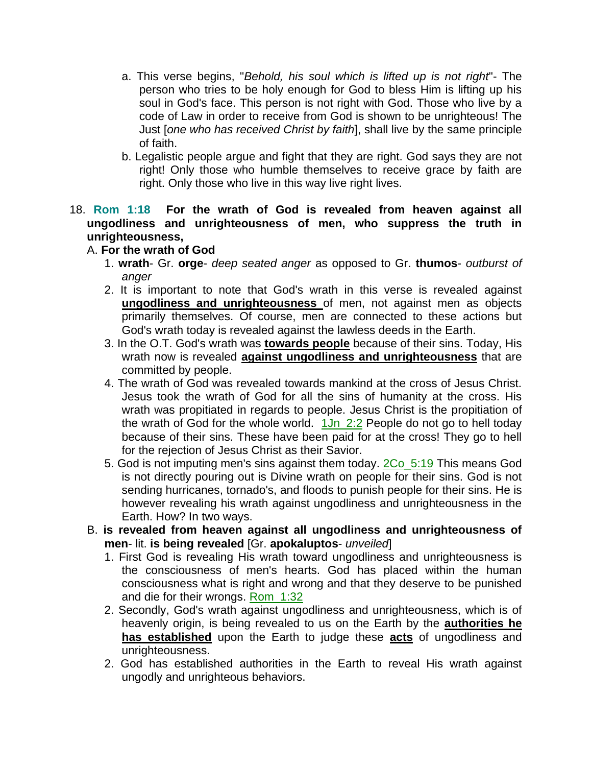- a. This verse begins, "*Behold, his soul which is lifted up is not right*"- The person who tries to be holy enough for God to bless Him is lifting up his soul in God's face. This person is not right with God. Those who live by a code of Law in order to receive from God is shown to be unrighteous! The Just [*one who has received Christ by faith*], shall live by the same principle of faith.
- b. Legalistic people argue and fight that they are right. God says they are not right! Only those who humble themselves to receive grace by faith are right. Only those who live in this way live right lives.
- 18. **Rom 1:18 For the wrath of God is revealed from heaven against all ungodliness and unrighteousness of men, who suppress the truth in unrighteousness,**

## A. **For the wrath of God**

- 1. **wrath** Gr. **orge** *deep seated anger* as opposed to Gr. **thumos** *outburst of anger*
- 2. It is important to note that God's wrath in this verse is revealed against **ungodliness and unrighteousness** of men, not against men as objects primarily themselves. Of course, men are connected to these actions but God's wrath today is revealed against the lawless deeds in the Earth.
- 3. In the O.T. God's wrath was **towards people** because of their sins. Today, His wrath now is revealed **against ungodliness and unrighteousness** that are committed by people.
- 4. The wrath of God was revealed towards mankind at the cross of Jesus Christ. Jesus took the wrath of God for all the sins of humanity at the cross. His wrath was propitiated in regards to people. Jesus Christ is the propitiation of the wrath of God for the whole world.  $1Jn_2:2$  People do not go to hell today because of their sins. These have been paid for at the cross! They go to hell for the rejection of Jesus Christ as their Savior.
- 5. God is not imputing men's sins against them today. 2Co\_5:19 This means God is not directly pouring out is Divine wrath on people for their sins. God is not sending hurricanes, tornado's, and floods to punish people for their sins. He is however revealing his wrath against ungodliness and unrighteousness in the Earth. How? In two ways.
- B. **is revealed from heaven against all ungodliness and unrighteousness of men**- lit. **is being revealed** [Gr. **apokaluptos**- *unveiled*]
	- 1. First God is revealing His wrath toward ungodliness and unrighteousness is the consciousness of men's hearts. God has placed within the human consciousness what is right and wrong and that they deserve to be punished and die for their wrongs. Rom\_1:32
	- 2. Secondly, God's wrath against ungodliness and unrighteousness, which is of heavenly origin, is being revealed to us on the Earth by the **authorities he has established** upon the Earth to judge these **acts** of ungodliness and unrighteousness.
	- 2. God has established authorities in the Earth to reveal His wrath against ungodly and unrighteous behaviors.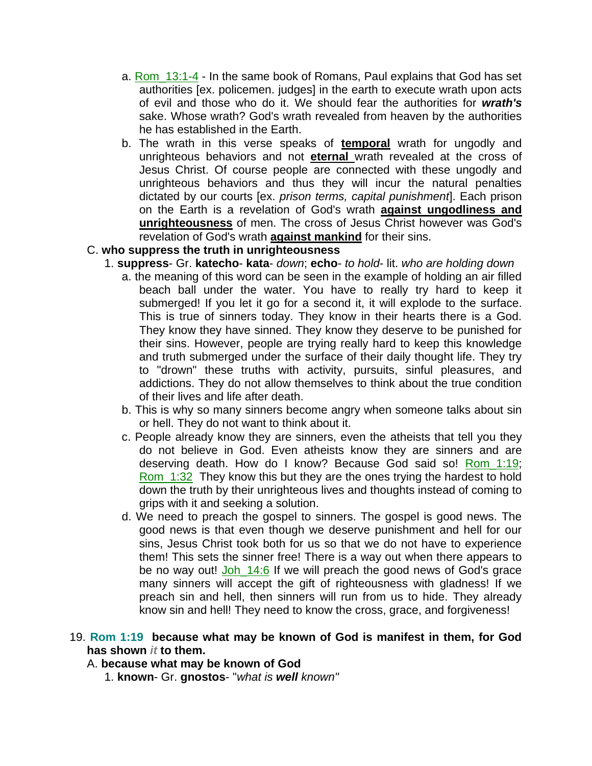- a. Rom 13:1-4 In the same book of Romans, Paul explains that God has set authorities [ex. policemen. judges] in the earth to execute wrath upon acts of evil and those who do it. We should fear the authorities for *wrath's* sake. Whose wrath? God's wrath revealed from heaven by the authorities he has established in the Earth.
- b. The wrath in this verse speaks of **temporal** wrath for ungodly and unrighteous behaviors and not **eternal** wrath revealed at the cross of Jesus Christ. Of course people are connected with these ungodly and unrighteous behaviors and thus they will incur the natural penalties dictated by our courts [ex. *prison terms, capital punishment*]. Each prison on the Earth is a revelation of God's wrath **against ungodliness and unrighteousness** of men. The cross of Jesus Christ however was God's revelation of God's wrath **against mankind** for their sins.

### C. **who suppress the truth in unrighteousness**

- 1. **suppress** Gr. **katecho kata** *down*; **echo** *to hold* lit. *who are holding down*
	- a. the meaning of this word can be seen in the example of holding an air filled beach ball under the water. You have to really try hard to keep it submerged! If you let it go for a second it, it will explode to the surface. This is true of sinners today. They know in their hearts there is a God. They know they have sinned. They know they deserve to be punished for their sins. However, people are trying really hard to keep this knowledge and truth submerged under the surface of their daily thought life. They try to "drown" these truths with activity, pursuits, sinful pleasures, and addictions. They do not allow themselves to think about the true condition of their lives and life after death.
	- b. This is why so many sinners become angry when someone talks about sin or hell. They do not want to think about it.
	- c. People already know they are sinners, even the atheists that tell you they do not believe in God. Even atheists know they are sinners and are deserving death. How do I know? Because God said so! Rom\_1:19; Rom 1:32 They know this but they are the ones trying the hardest to hold down the truth by their unrighteous lives and thoughts instead of coming to grips with it and seeking a solution.
	- d. We need to preach the gospel to sinners. The gospel is good news. The good news is that even though we deserve punishment and hell for our sins, Jesus Christ took both for us so that we do not have to experience them! This sets the sinner free! There is a way out when there appears to be no way out! Joh\_14:6 If we will preach the good news of God's grace many sinners will accept the gift of righteousness with gladness! If we preach sin and hell, then sinners will run from us to hide. They already know sin and hell! They need to know the cross, grace, and forgiveness!

### 19. **Rom 1:19 because what may be known of God is manifest in them, for God has shown** *it* **to them.**

### A. **because what may be known of God**

1. **known**- Gr. **gnostos**- "*what is well known"*